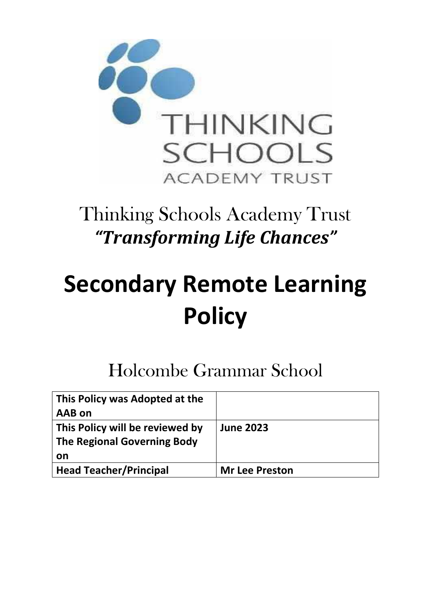

# Thinking Schools Academy Trust *"Transforming Life Chances"*

# **Secondary Remote Learning Policy**

# Holcombe Grammar School

| This Policy was Adopted at the  |                       |
|---------------------------------|-----------------------|
| AAB on                          |                       |
| This Policy will be reviewed by | <b>June 2023</b>      |
| The Regional Governing Body     |                       |
| on                              |                       |
| <b>Head Teacher/Principal</b>   | <b>Mr Lee Preston</b> |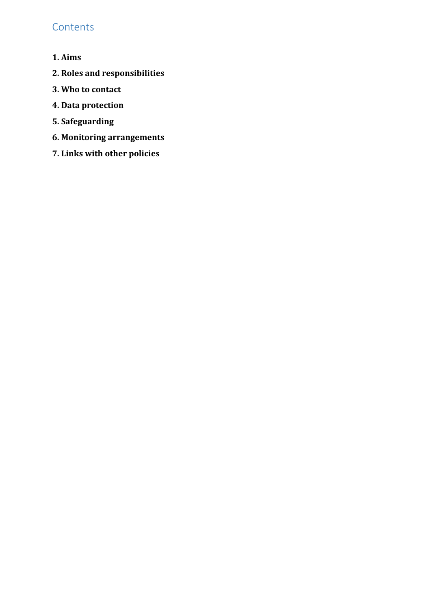# **Contents**

- **1. Aims**
- **[2. Roles and responsibilities](file:///C:/Users/lwd01/AppData/Local/Microsoft/Windows/INetCache/Content.Outlook/07XD339J/Paper%208%20-Remote%20Learning%20Policy%20Secondary.docx%23_Toc42788450)**
- **[3. Who to contact](file:///C:/Users/lwd01/AppData/Local/Microsoft/Windows/INetCache/Content.Outlook/07XD339J/Paper%208%20-Remote%20Learning%20Policy%20Secondary.docx%23_Toc42788451)**
- **[4. Data protection](file:///C:/Users/lwd01/AppData/Local/Microsoft/Windows/INetCache/Content.Outlook/07XD339J/Paper%208%20-Remote%20Learning%20Policy%20Secondary.docx%23_Toc42788452)**
- **[5. Safeguarding](file:///C:/Users/lwd01/AppData/Local/Microsoft/Windows/INetCache/Content.Outlook/07XD339J/Paper%208%20-Remote%20Learning%20Policy%20Secondary.docx%23_Toc42788453)**
- **[6. Monitoring arrangements](file:///C:/Users/lwd01/AppData/Local/Microsoft/Windows/INetCache/Content.Outlook/07XD339J/Paper%208%20-Remote%20Learning%20Policy%20Secondary.docx%23_Toc42788454)**
- **[7. Links with other policies](file:///C:/Users/lwd01/AppData/Local/Microsoft/Windows/INetCache/Content.Outlook/07XD339J/Paper%208%20-Remote%20Learning%20Policy%20Secondary.docx%23_Toc42788455)**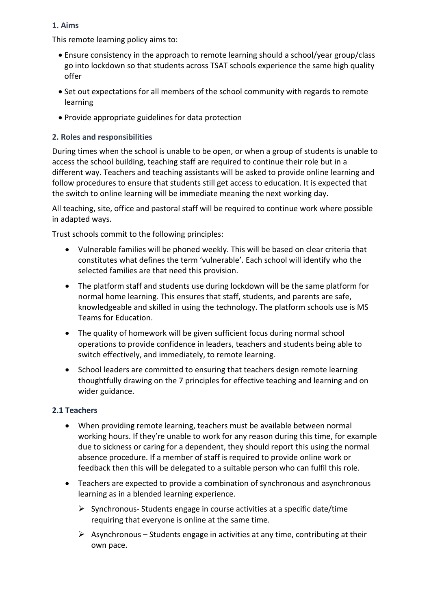# **1. Aims**

This remote learning policy aims to:

- Ensure consistency in the approach to remote learning should a school/year group/class go into lockdown so that students across TSAT schools experience the same high quality offer
- Set out expectations for all members of the school community with regards to remote learning
- Provide appropriate guidelines for data protection

# **2. Roles and responsibilities**

During times when the school is unable to be open, or when a group of students is unable to access the school building, teaching staff are required to continue their role but in a different way. Teachers and teaching assistants will be asked to provide online learning and follow procedures to ensure that students still get access to education. It is expected that the switch to online learning will be immediate meaning the next working day.

All teaching, site, office and pastoral staff will be required to continue work where possible in adapted ways.

Trust schools commit to the following principles:

- Vulnerable families will be phoned weekly. This will be based on clear criteria that constitutes what defines the term 'vulnerable'. Each school will identify who the selected families are that need this provision.
- The platform staff and students use during lockdown will be the same platform for normal home learning. This ensures that staff, students, and parents are safe, knowledgeable and skilled in using the technology. The platform schools use is MS Teams for Education.
- The quality of homework will be given sufficient focus during normal school operations to provide confidence in leaders, teachers and students being able to switch effectively, and immediately, to remote learning.
- School leaders are committed to ensuring that teachers design remote learning thoughtfully drawing on the 7 principles for effective teaching and learning and on wider guidance.

# **2.1 Teachers**

- When providing remote learning, teachers must be available between normal working hours. If they're unable to work for any reason during this time, for example due to sickness or caring for a dependent, they should report this using the normal absence procedure. If a member of staff is required to provide online work or feedback then this will be delegated to a suitable person who can fulfil this role.
- Teachers are expected to provide a combination of synchronous and asynchronous learning as in a blended learning experience.
	- ➢ Synchronous- Students engage in course activities at a specific date/time requiring that everyone is online at the same time.
	- $\triangleright$  Asynchronous Students engage in activities at any time, contributing at their own pace.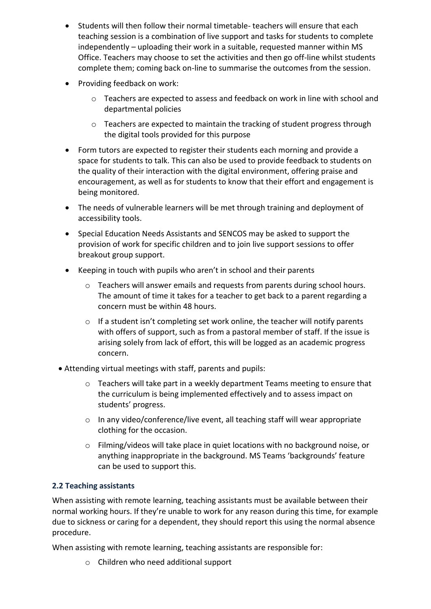- Students will then follow their normal timetable- teachers will ensure that each teaching session is a combination of live support and tasks for students to complete independently – uploading their work in a suitable, requested manner within MS Office. Teachers may choose to set the activities and then go off-line whilst students complete them; coming back on-line to summarise the outcomes from the session.
- Providing feedback on work:
	- o Teachers are expected to assess and feedback on work in line with school and departmental policies
	- o Teachers are expected to maintain the tracking of student progress through the digital tools provided for this purpose
- Form tutors are expected to register their students each morning and provide a space for students to talk. This can also be used to provide feedback to students on the quality of their interaction with the digital environment, offering praise and encouragement, as well as for students to know that their effort and engagement is being monitored.
- The needs of vulnerable learners will be met through training and deployment of accessibility tools.
- Special Education Needs Assistants and SENCOS may be asked to support the provision of work for specific children and to join live support sessions to offer breakout group support.
- Keeping in touch with pupils who aren't in school and their parents
	- $\circ$  Teachers will answer emails and requests from parents during school hours. The amount of time it takes for a teacher to get back to a parent regarding a concern must be within 48 hours.
	- o If a student isn't completing set work online, the teacher will notify parents with offers of support, such as from a pastoral member of staff. If the issue is arising solely from lack of effort, this will be logged as an academic progress concern.
- Attending virtual meetings with staff, parents and pupils:
	- $\circ$  Teachers will take part in a weekly department Teams meeting to ensure that the curriculum is being implemented effectively and to assess impact on students' progress.
	- o In any video/conference/live event, all teaching staff will wear appropriate clothing for the occasion.
	- o Filming/videos will take place in quiet locations with no background noise, or anything inappropriate in the background. MS Teams 'backgrounds' feature can be used to support this.

# **2.2 Teaching assistants**

When assisting with remote learning, teaching assistants must be available between their normal working hours. If they're unable to work for any reason during this time, for example due to sickness or caring for a dependent, they should report this using the normal absence procedure.

When assisting with remote learning, teaching assistants are responsible for:

o Children who need additional support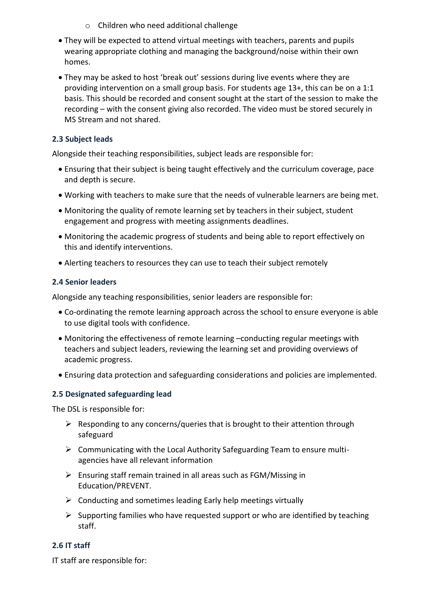- o Children who need additional challenge
- They will be expected to attend virtual meetings with teachers, parents and pupils wearing appropriate clothing and managing the background/noise within their own homes.
- They may be asked to host 'break out' sessions during live events where they are providing intervention on a small group basis. For students age 13+, this can be on a 1:1 basis. This should be recorded and consent sought at the start of the session to make the recording – with the consent giving also recorded. The video must be stored securely in MS Stream and not shared.

# **2.3 Subject leads**

Alongside their teaching responsibilities, subject leads are responsible for:

- Ensuring that their subject is being taught effectively and the curriculum coverage, pace and depth is secure.
- Working with teachers to make sure that the needs of vulnerable learners are being met.
- Monitoring the quality of remote learning set by teachers in their subject, student engagement and progress with meeting assignments deadlines.
- Monitoring the academic progress of students and being able to report effectively on this and identify interventions.
- Alerting teachers to resources they can use to teach their subject remotely

## **2.4 Senior leaders**

Alongside any teaching responsibilities, senior leaders are responsible for:

- Co-ordinating the remote learning approach across the school to ensure everyone is able to use digital tools with confidence.
- Monitoring the effectiveness of remote learning –conducting regular meetings with teachers and subject leaders, reviewing the learning set and providing overviews of academic progress.
- Ensuring data protection and safeguarding considerations and policies are implemented.

# **2.5 Designated safeguarding lead**

The DSL is responsible for:

- $\triangleright$  Responding to any concerns/queries that is brought to their attention through safeguard
- ➢ Communicating with the Local Authority Safeguarding Team to ensure multiagencies have all relevant information
- ➢ Ensuring staff remain trained in all areas such as FGM/Missing in Education/PREVENT.
- $\triangleright$  Conducting and sometimes leading Early help meetings virtually
- $\triangleright$  Supporting families who have requested support or who are identified by teaching staff.

# **2.6 IT staff**

IT staff are responsible for: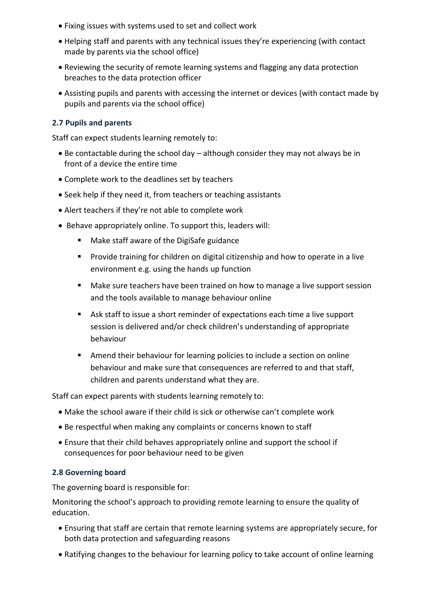- Fixing issues with systems used to set and collect work
- Helping staff and parents with any technical issues they're experiencing (with contact made by parents via the school office)
- Reviewing the security of remote learning systems and flagging any data protection breaches to the data protection officer
- Assisting pupils and parents with accessing the internet or devices (with contact made by pupils and parents via the school office)

#### **2.7 Pupils and parents**

Staff can expect students learning remotely to:

- Be contactable during the school day although consider they may not always be in front of a device the entire time
- Complete work to the deadlines set by teachers
- Seek help if they need it, from teachers or teaching assistants
- Alert teachers if they're not able to complete work
- Behave appropriately online. To support this, leaders will:
	- Make staff aware of the DigiSafe guidance
	- Provide training for children on digital citizenship and how to operate in a live environment e.g. using the hands up function
	- Make sure teachers have been trained on how to manage a live support session and the tools available to manage behaviour online
	- Ask staff to issue a short reminder of expectations each time a live support session is delivered and/or check children's understanding of appropriate behaviour
	- Amend their behaviour for learning policies to include a section on online behaviour and make sure that consequences are referred to and that staff, children and parents understand what they are.

Staff can expect parents with students learning remotely to:

- Make the school aware if their child is sick or otherwise can't complete work
- Be respectful when making any complaints or concerns known to staff
- Ensure that their child behaves appropriately online and support the school if consequences for poor behaviour need to be given

#### **2.8 Governing board**

The governing board is responsible for:

Monitoring the school's approach to providing remote learning to ensure the quality of education.

- Ensuring that staff are certain that remote learning systems are appropriately secure, for both data protection and safeguarding reasons
- Ratifying changes to the behaviour for learning policy to take account of online learning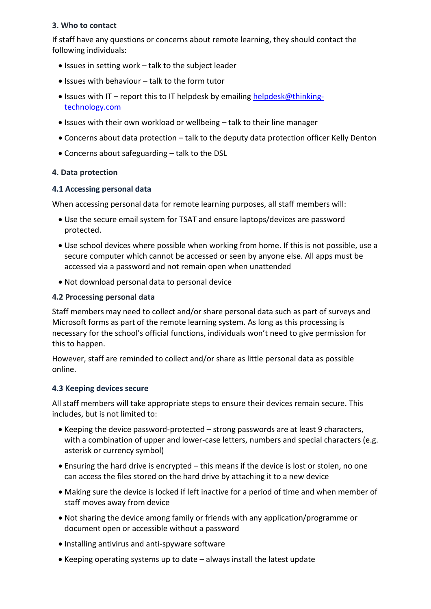#### **3. Who to contact**

If staff have any questions or concerns about remote learning, they should contact the following individuals:

- Issues in setting work talk to the subject leader
- Issues with behaviour talk to the form tutor
- Issues with IT report this to IT helpdesk by emailing [helpdesk@thinking](mailto:helpdesk@thinking-technology.com)[technology.com](mailto:helpdesk@thinking-technology.com)
- Issues with their own workload or wellbeing talk to their line manager
- Concerns about data protection talk to the deputy data protection officer Kelly Denton
- Concerns about safeguarding talk to the DSL

## **4. Data protection**

#### **4.1 Accessing personal data**

When accessing personal data for remote learning purposes, all staff members will:

- Use the secure email system for TSAT and ensure laptops/devices are password protected.
- Use school devices where possible when working from home. If this is not possible, use a secure computer which cannot be accessed or seen by anyone else. All apps must be accessed via a password and not remain open when unattended
- Not download personal data to personal device

#### **4.2 Processing personal data**

Staff members may need to collect and/or share personal data such as part of surveys and Microsoft forms as part of the remote learning system. As long as this processing is necessary for the school's official functions, individuals won't need to give permission for this to happen.

However, staff are reminded to collect and/or share as little personal data as possible online.

#### **4.3 Keeping devices secure**

All staff members will take appropriate steps to ensure their devices remain secure. This includes, but is not limited to:

- Keeping the device password-protected strong passwords are at least 9 characters, with a combination of upper and lower-case letters, numbers and special characters (e.g. asterisk or currency symbol)
- Ensuring the hard drive is encrypted this means if the device is lost or stolen, no one can access the files stored on the hard drive by attaching it to a new device
- Making sure the device is locked if left inactive for a period of time and when member of staff moves away from device
- Not sharing the device among family or friends with any application/programme or document open or accessible without a password
- Installing antivirus and anti-spyware software
- Keeping operating systems up to date always install the latest update